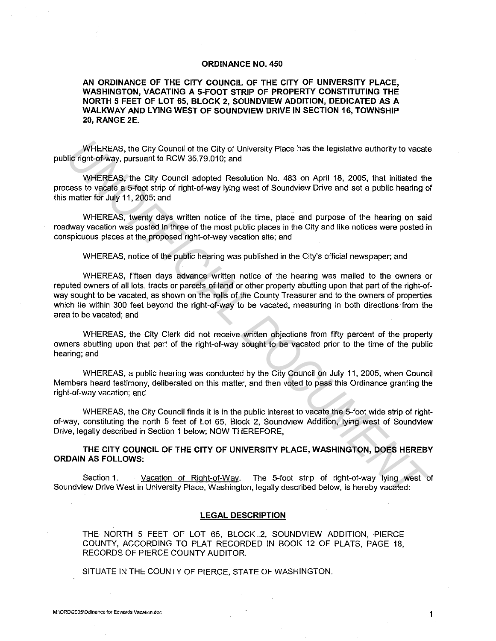## **ORDINANCE NO. 450**

**AN ORDINANCE OF THE CITY COUNCIL OF THE CITY OF UNIVERSITY PLACE, WASHINGTON, VACATING A 5-FOOT STRIP OF PROPERTY CONSTITUTING THE NORTH 5 FEET OF LOT 65, BLOCK 2, SOUNDVIEW ADDITION, DEDICATED AS A WALKWAY AND LYING WEST OF SOUNDVIEW DRIVE IN SECTION 16, TOWNSHIP 20, RANGE 2E.** 

WHEREAS, the City Council of the City of University Place has the legislative authority to vacate public right-of-way, pursuant to RCW 35.79.010; and

WHEREAS, the City Council adopted Resolution No. 483 on April 18, 2005, that initiated the process to vacate a 5-foot strip of right-of-way lying west of Soundview Drive and set a public hearing of this matter for July 11, 2005; and

WHEREAS, twenty days written notice of the time, place and purpose of the hearing on said roadway vacation was posted in three of the most public places in the City and like notices were posted in conspicuous places at the proposed right-of-way vacation site; and

WHEREAS, notice of the public hearing was published in the City's official newspaper; and

WHEREAS, fifteen days advance written notice of the hearing was mailed to the owners or reputed owners of all lots, tracts or parcels of land or other property abutting upon that part of the right-ofway sought to be vacated, as shown on the rolls of the County Treasurer and to the owners of properties which lie within 300 feet beyond the right-of-way to be vacated, measuring in both directions from the area to be vacated; and WHEREAS, the City Council of the City of University Place has the legislative authority to vacate<br>
Uniform-browsy, pursuant to RCW 35.79.010; and<br>
WHEREAS, the City Council adopted Resolution No. 483 on April 18, 2005, tha

WHEREAS, the City Clerk did not receive written objections from fifty percent of the property owners abutting upon that part of the right-of-way sought to be vacated prior to the time of the public hearing; and

WHEREAS, a public hearing was conducted by the City Council on July 11, 2005, when Council Members heard testimony, deliberated on this matter, and then voted to pass this Ordinance granting the right-of-way vacation; and

WHEREAS, the City Council finds it is in the public interest to vacate the 5-foot wide strip of rightof-way, constituting the north 5 feet of Lot 65, Block 2, Soundview Addition, lying west of Soundview Drive, legally described in Section 1 below; NOW THEREFORE,

## **THE CITY COUNCIL OF THE CITY OF UNIVERSITY PLACE, WASHINGTON, DOES HEREBY ORDAIN AS FOLLOWS:**

Section 1. Vacation of Right-of-Way. The 5-foot strip of right-of-way lying west of Soundview Drive West in University Place, Washington, legally described below, is hereby vacated:

## **LEGAL DESCRIPTION**

THE NORTH 5 FEET OF LOT 65, BLOCK 2, SOUNDVIEW ADDITION, PIERCE COUNTY, ACCORDING TO PLAT RECORDED IN BOOK 12 OF PLATS, PAGE 18, RECORDS OF PIERCE COUNTY AUDITOR.

SITUATE IN THE COUNTY OF PIERCE, STATE OF WASHINGTON.